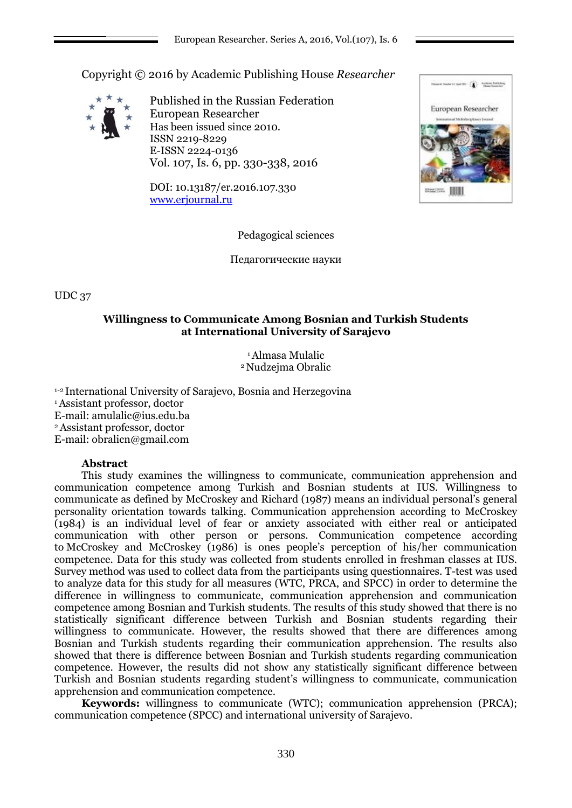Copyright © 2016 by Academic Publishing House *Researcher*



Published in the Russian Federation European Researcher Has been issued since 2010. ISSN 2219-8229 E-ISSN 2224-0136 Vol. 107, Is. 6, pp. 330-338, 2016

DOI: 10.13187/er.2016.107.330 [www.erjournal.ru](http://www.erjournal.ru/)



Pedagogical sciences

Педагогические науки

UDC 37

# **Willingness to Communicate Among Bosnian and Turkish Students at International University of Sarajevo**

<sup>1</sup>Almasa Mulalic <sup>2</sup>Nudzejma Obralic

1-2 International University of Sarajevo, Bosnia and Herzegovina <sup>1</sup>Assistant professor, doctor E-mail[: amulalic@ius.edu.ba](mailto:amulalic@ius.edu.ba) <sup>2</sup>Assistant professor, doctor E-mail: obralicn@gmail.com

## **Abstract**

This study examines the willingness to communicate, communication apprehension and communication competence among Turkish and Bosnian students at IUS. Willingness to communicate as defined by McCroskey and Richard (1987) means an individual personal's general personality orientation towards talking. Communication apprehension according to McCroskey (1984) is an individual level of fear or anxiety associated with either real or anticipated communication with other person or persons. Communication competence according to McCroskey and McCroskey (1986) is ones people's perception of his/her communication competence. Data for this study was collected from students enrolled in freshman classes at IUS. Survey method was used to collect data from the participants using questionnaires. T-test was used to analyze data for this study for all measures (WTC, PRCA, and SPCC) in order to determine the difference in willingness to communicate, communication apprehension and communication competence among Bosnian and Turkish students. The results of this study showed that there is no statistically significant difference between Turkish and Bosnian students regarding their willingness to communicate. However, the results showed that there are differences among Bosnian and Turkish students regarding their communication apprehension. The results also showed that there is difference between Bosnian and Turkish students regarding communication competence. However, the results did not show any statistically significant difference between Turkish and Bosnian students regarding student's willingness to communicate, communication apprehension and communication competence.

**Keywords:** willingness to communicate (WTC); communication apprehension (PRCA); communication competence (SPCC) and international university of Sarajevo.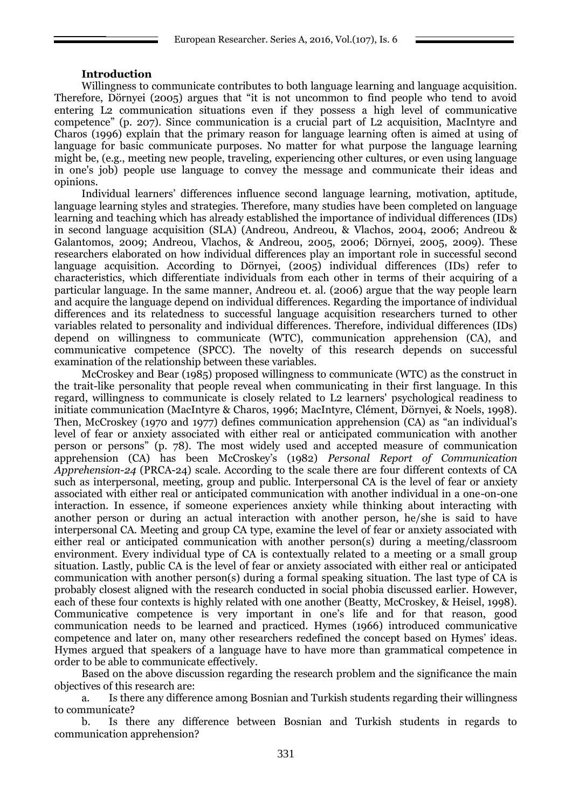### **Introduction**

Willingness to communicate contributes to both language learning and language acquisition. Therefore, Dörnyei (2005) argues that "it is not uncommon to find people who tend to avoid entering L2 communication situations even if they possess a high level of communicative competence" (p. 207). Since communication is a crucial part of L2 acquisition, MacIntyre and Charos (1996) explain that the primary reason for language learning often is aimed at using of language for basic communicate purposes. No matter for what purpose the language learning might be, (e.g., meeting new people, traveling, experiencing other cultures, or even using language in one's job) people use language to convey the message and communicate their ideas and opinions.

Individual learners' differences influence second language learning, motivation, aptitude, language learning styles and strategies. Therefore, many studies have been completed on language learning and teaching which has already established the importance of individual differences (IDs) in second language acquisition (SLA) (Andreou, Andreou, & Vlachos, 2004, 2006; Andreou & Galantomos, 2009; Andreou, Vlachos, & Andreou, 2005, 2006; Dörnyei, 2005, 2009). These researchers elaborated on how individual differences play an important role in successful second language acquisition. According to Dörnyei, (2005) individual differences (IDs) refer to characteristics, which differentiate individuals from each other in terms of their acquiring of a particular language. In the same manner, Andreou et. al. (2006) argue that the way people learn and acquire the language depend on individual differences. Regarding the importance of individual differences and its relatedness to successful language acquisition researchers turned to other variables related to personality and individual differences. Therefore, individual differences (IDs) depend on willingness to communicate (WTC), communication apprehension (CA), and communicative competence (SPCC). The novelty of this research depends on successful examination of the relationship between these variables.

McCroskey and Bear (1985) proposed willingness to communicate (WTC) as the construct in the trait-like personality that people reveal when communicating in their first language. In this regard, willingness to communicate is closely related to L2 learners' psychological readiness to initiate communication (MacIntyre & Charos, 1996; MacIntyre, Clément, Dörnyei, & Noels, 1998). Then, McCroskey (1970 and 1977) defines communication apprehension (CA) as "an individual's level of fear or anxiety associated with either real or anticipated communication with another person or persons" (p. 78). The most widely used and accepted measure of communication apprehension (CA) has been McCroskey's (1982) *Personal Report of Communication Apprehension-24* (PRCA-24) scale. According to the scale there are four different contexts of CA such as interpersonal, meeting, group and public. Interpersonal CA is the level of fear or anxiety associated with either real or anticipated communication with another individual in a one-on-one interaction. In essence, if someone experiences anxiety while thinking about interacting with another person or during an actual interaction with another person, he/she is said to have interpersonal CA. Meeting and group CA type, examine the level of fear or anxiety associated with either real or anticipated communication with another person(s) during a meeting/classroom environment. Every individual type of CA is contextually related to a meeting or a small group situation. Lastly, public CA is the level of fear or anxiety associated with either real or anticipated communication with another person(s) during a formal speaking situation. The last type of CA is probably closest aligned with the research conducted in social phobia discussed earlier. However, each of these four contexts is highly related with one another (Beatty, McCroskey, & Heisel, 1998). Communicative competence is very important in one's life and for that reason, good communication needs to be learned and practiced. Hymes (1966) introduced communicative competence and later on, many other researchers redefined the concept based on Hymes' ideas. Hymes argued that speakers of a language have to have more than grammatical competence in order to be able to communicate effectively.

Based on the above discussion regarding the research problem and the significance the main objectives of this research are:

a. Is there any difference among Bosnian and Turkish students regarding their willingness to communicate?

b. Is there any difference between Bosnian and Turkish students in regards to communication apprehension?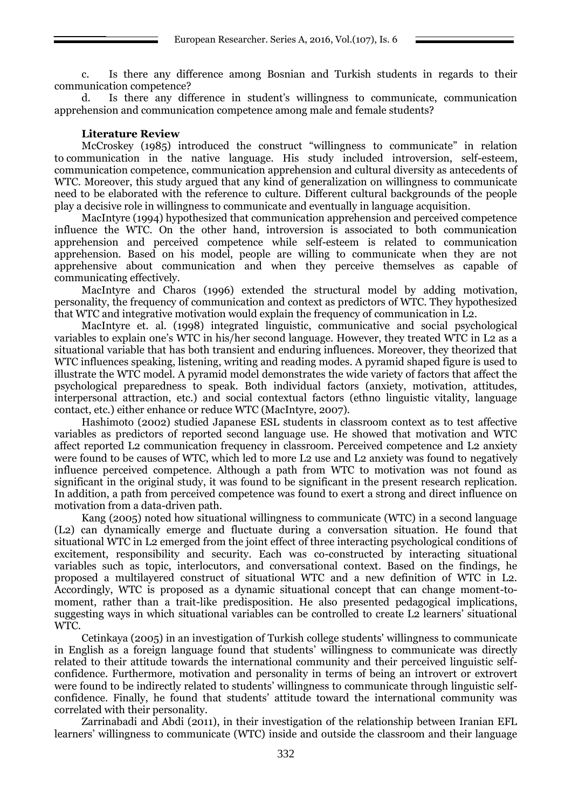c. Is there any difference among Bosnian and Turkish students in regards to their communication competence?

d. Is there any difference in student's willingness to communicate, communication apprehension and communication competence among male and female students?

### **Literature Review**

McCroskey (1985) introduced the construct "willingness to communicate" in relation to communication in the native language. His study included introversion, self-esteem, communication competence, communication apprehension and cultural diversity as antecedents of WTC. Moreover, this study argued that any kind of generalization on willingness to communicate need to be elaborated with the reference to culture. Different cultural backgrounds of the people play a decisive role in willingness to communicate and eventually in language acquisition.

MacIntyre (1994) hypothesized that communication apprehension and perceived competence influence the WTC. On the other hand, introversion is associated to both communication apprehension and perceived competence while self-esteem is related to communication apprehension. Based on his model, people are willing to communicate when they are not apprehensive about communication and when they perceive themselves as capable of communicating effectively.

MacIntyre and Charos (1996) extended the structural model by adding motivation, personality, the frequency of communication and context as predictors of WTC. They hypothesized that WTC and integrative motivation would explain the frequency of communication in L2.

MacIntyre et. al. (1998) integrated linguistic, communicative and social psychological variables to explain one's WTC in his/her second language. However, they treated WTC in L2 as a situational variable that has both transient and enduring influences. Moreover, they theorized that WTC influences speaking, listening, writing and reading modes. A pyramid shaped figure is used to illustrate the WTC model. A pyramid model demonstrates the wide variety of factors that affect the psychological preparedness to speak. Both individual factors (anxiety, motivation, attitudes, interpersonal attraction, etc.) and social contextual factors (ethno linguistic vitality, language contact, etc.) either enhance or reduce WTC (MacIntyre, 2007).

Hashimoto (2002) studied Japanese ESL students in classroom context as to test affective variables as predictors of reported second language use. He showed that motivation and WTC affect reported L2 communication frequency in classroom. Perceived competence and L2 anxiety were found to be causes of WTC, which led to more L2 use and L2 anxiety was found to negatively influence perceived competence. Although a path from WTC to motivation was not found as significant in the original study, it was found to be significant in the present research replication. In addition, a path from perceived competence was found to exert a strong and direct influence on motivation from a data-driven path.

Kang (2005) noted how situational willingness to communicate (WTC) in a second language (L2) can dynamically emerge and fluctuate during a conversation situation. He found that situational WTC in L2 emerged from the joint effect of three interacting psychological conditions of excitement, responsibility and security. Each was co-constructed by interacting situational variables such as topic, interlocutors, and conversational context. Based on the findings, he proposed a multilayered construct of situational WTC and a new definition of WTC in L2. Accordingly, WTC is proposed as a dynamic situational concept that can change moment-tomoment, rather than a trait-like predisposition. He also presented pedagogical implications, suggesting ways in which situational variables can be controlled to create L2 learners' situational WTC.

Cetinkaya (2005) in an investigation of Turkish college students' willingness to communicate in English as a foreign language found that students' willingness to communicate was directly related to their attitude towards the international community and their perceived linguistic selfconfidence. Furthermore, motivation and personality in terms of being an introvert or extrovert were found to be indirectly related to students' willingness to communicate through linguistic selfconfidence. Finally, he found that students' attitude toward the international community was correlated with their personality.

Zarrinabadi and Abdi (2011), in their investigation of the relationship between Iranian EFL learners' willingness to communicate (WTC) inside and outside the classroom and their language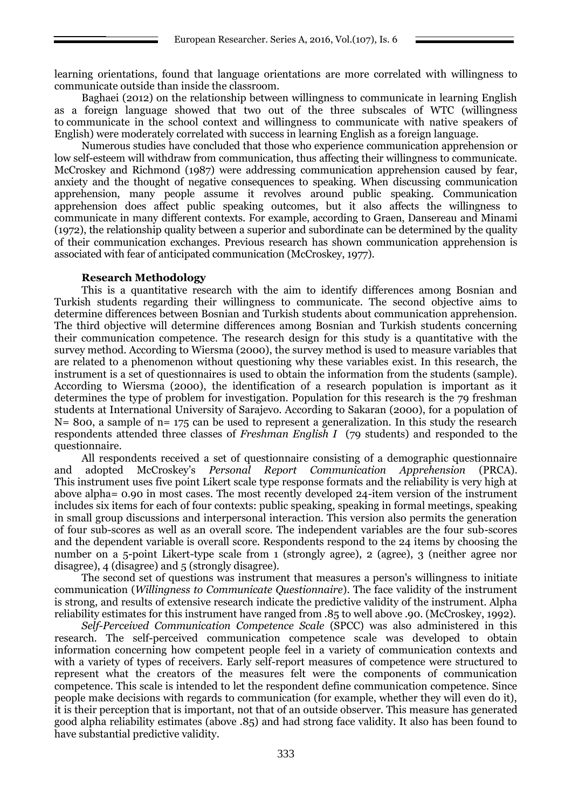learning orientations, found that language orientations are more correlated with willingness to communicate outside than inside the classroom.

Baghaei (2012) on the relationship between willingness to communicate in learning English as a foreign language showed that two out of the three subscales of WTC (willingness to communicate in the school context and willingness to communicate with native speakers of English) were moderately correlated with success in learning English as a foreign language.

Numerous studies have concluded that those who experience communication apprehension or low self-esteem will withdraw from communication, thus affecting their willingness to communicate. McCroskey and Richmond (1987) were addressing communication apprehension caused by fear, anxiety and the thought of negative consequences to speaking. When discussing communication apprehension, many people assume it revolves around public speaking. Communication apprehension does affect public speaking outcomes, but it also affects the willingness to communicate in many different contexts. For example, according to Graen, Dansereau and Minami (1972), the relationship quality between a superior and subordinate can be determined by the quality of their communication exchanges. Previous research has shown communication apprehension is associated with fear of anticipated communication (McCroskey, 1977).

### **Research Methodology**

This is a quantitative research with the aim to identify differences among Bosnian and Turkish students regarding their willingness to communicate. The second objective aims to determine differences between Bosnian and Turkish students about communication apprehension. The third objective will determine differences among Bosnian and Turkish students concerning their communication competence. The research design for this study is a quantitative with the survey method. According to Wiersma (2000), the survey method is used to measure variables that are related to a phenomenon without questioning why these variables exist. In this research, the instrument is a set of questionnaires is used to obtain the information from the students (sample). According to Wiersma (2000), the identification of a research population is important as it determines the type of problem for investigation. Population for this research is the 79 freshman students at International University of Sarajevo. According to Sakaran (2000), for a population of  $N= 800$ , a sample of n= 175 can be used to represent a generalization. In this study the research respondents attended three classes of *Freshman English I* (79 students) and responded to the questionnaire.

All respondents received a set of questionnaire consisting of a demographic questionnaire and adopted McCroskey's *Personal Report Communication Apprehension* (PRCA). This instrument uses five point Likert scale type response formats and the reliability is very high at above alpha= 0.90 in most cases. The most recently developed 24-item version of the instrument includes six items for each of four contexts: public speaking, speaking in formal meetings, speaking in small group discussions and interpersonal interaction. This version also permits the generation of four sub-scores as well as an overall score. The independent variables are the four sub-scores and the dependent variable is overall score. Respondents respond to the 24 items by choosing the number on a 5-point Likert-type scale from 1 (strongly agree), 2 (agree), 3 (neither agree nor disagree), 4 (disagree) and 5 (strongly disagree).

The second set of questions was instrument that measures a person's willingness to initiate communication (*Willingness to Communicate Questionnaire*). The face validity of the instrument is strong, and results of extensive research indicate the predictive validity of the instrument. Alpha reliability estimates for this instrument have ranged from .85 to well above .90. (McCroskey, 1992).

*Self-Perceived Communication Competence Scale* (SPCC) was also administered in this research. The self-perceived communication competence scale was developed to obtain information concerning how competent people feel in a variety of communication contexts and with a variety of types of receivers. Early self-report measures of competence were structured to represent what the creators of the measures felt were the components of communication competence. This scale is intended to let the respondent define communication competence. Since people make decisions with regards to communication (for example, whether they will even do it), it is their perception that is important, not that of an outside observer. This measure has generated good alpha reliability estimates (above .85) and had strong face validity. It also has been found to have substantial predictive validity.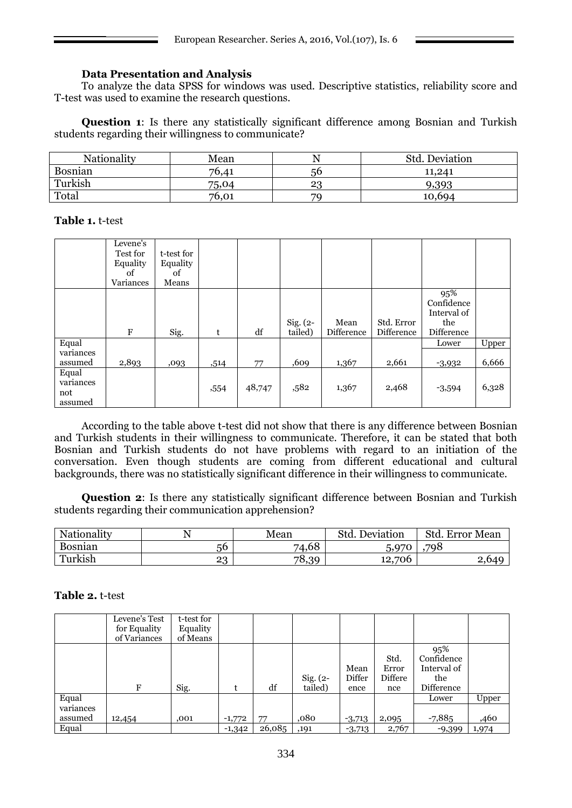# **Data Presentation and Analysis**

To analyze the data SPSS for windows was used. Descriptive statistics, reliability score and T-test was used to examine the research questions.

**Question 1**: Is there any statistically significant difference among Bosnian and Turkish students regarding their willingness to communicate?

| Nationality | Mean  | <u>. ۱</u> | Std. Deviation |
|-------------|-------|------------|----------------|
| Bosnian     | 76,41 | 56         | 11.241         |
| Turkish     | 75,04 | 23         | 9,393          |
| Total       | 76,01 | 70         | 10,694         |

**Table 1.** t-test

|                                      | Levene's<br>Test for<br>Equality<br>of<br>Variances | t-test for<br>Equality<br>of<br>Means |      |        |                       |                    |                          |                                                       |       |
|--------------------------------------|-----------------------------------------------------|---------------------------------------|------|--------|-----------------------|--------------------|--------------------------|-------------------------------------------------------|-------|
|                                      | $_{\rm F}$                                          | Sig.                                  | t    | df     | $Sig. (2-$<br>tailed) | Mean<br>Difference | Std. Error<br>Difference | 95%<br>Confidence<br>Interval of<br>the<br>Difference |       |
| Equal                                |                                                     |                                       |      |        |                       |                    |                          | Lower                                                 | Upper |
| variances<br>assumed                 | 2,893                                               | ,093                                  | ,514 | 77     | ,609                  | 1,367              | 2,661                    | $-3,932$                                              | 6,666 |
| Equal<br>variances<br>not<br>assumed |                                                     |                                       | ,554 | 48,747 | ,582                  | 1,367              | 2,468                    | $-3,594$                                              | 6,328 |

According to the table above t-test did not show that there is any difference between Bosnian and Turkish students in their willingness to communicate. Therefore, it can be stated that both Bosnian and Turkish students do not have problems with regard to an initiation of the conversation. Even though students are coming from different educational and cultural backgrounds, there was no statistically significant difference in their willingness to communicate.

**Question 2**: Is there any statistically significant difference between Bosnian and Turkish students regarding their communication apprehension?

| Nationality    |    | Mean                   | Std.<br>Deviation | Std.<br><b>Error</b> Mean |  |
|----------------|----|------------------------|-------------------|---------------------------|--|
| <b>Bosnian</b> | 56 | 74,68                  | 5,970             | .798                      |  |
| Turkish        | ററ | 78,<br>$\Omega$<br>ึ่น | 12,706            |                           |  |

## **Table 2.** t-test

|                    | Levene's Test<br>for Equality<br>of Variances | t-test for<br>Equality<br>of Means |          |        |                       |                        |                                 |                                                       |       |
|--------------------|-----------------------------------------------|------------------------------------|----------|--------|-----------------------|------------------------|---------------------------------|-------------------------------------------------------|-------|
|                    | F                                             | Sig.                               |          | df     | $Sig. (2-$<br>tailed) | Mean<br>Differ<br>ence | Std.<br>Error<br>Differe<br>nce | 95%<br>Confidence<br>Interval of<br>the<br>Difference |       |
| Equal<br>variances |                                               |                                    |          |        |                       |                        |                                 | Lower                                                 | Upper |
| assumed            | 12,454                                        | ,001                               | $-1,772$ | 77     | ,080                  | $-3,713$               | 2,095                           | $-7,885$                                              | ,460  |
| Equal              |                                               |                                    | $-1,342$ | 26,085 | ,191                  | $-3,713$               | 2,767                           | $-9,399$                                              | 1,974 |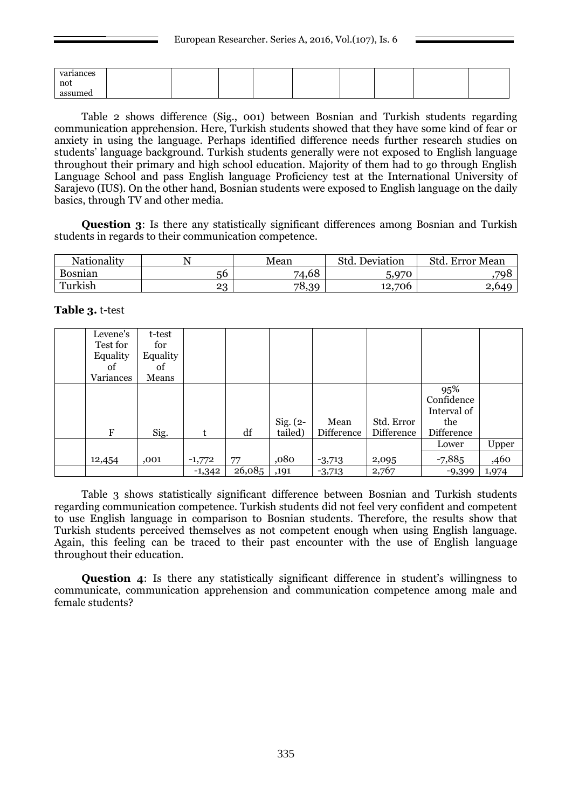| variances |  |  |  |  |  |
|-----------|--|--|--|--|--|
| not       |  |  |  |  |  |
| assumed   |  |  |  |  |  |

Table 2 shows difference (Sig., 001) between Bosnian and Turkish students regarding communication apprehension. Here, Turkish students showed that they have some kind of fear or anxiety in using the language. Perhaps identified difference needs further research studies on students' language background. Turkish students generally were not exposed to English language throughout their primary and high school education. Majority of them had to go through English Language School and pass English language Proficiency test at the International University of Sarajevo (IUS). On the other hand, Bosnian students were exposed to English language on the daily basics, through TV and other media.

**Question 3**: Is there any statistically significant differences among Bosnian and Turkish students in regards to their communication competence.

| Nationality    |                | Mean           | Std.<br>Deviation | Std<br><b>Error</b> Mean |  |
|----------------|----------------|----------------|-------------------|--------------------------|--|
| <b>Bosnian</b> | $-6$<br>5U.    | 74,68          | 5,970             | 798                      |  |
| Turkish        | ററ<br><u>_</u> | 78,<br>ററ<br>ヾ | .706<br>12,7      | 2,640                    |  |

### **Table 3.** t-test

| Levene's  | t-test   |          |        |            |            |            |             |       |
|-----------|----------|----------|--------|------------|------------|------------|-------------|-------|
| Test for  | for      |          |        |            |            |            |             |       |
| Equality  | Equality |          |        |            |            |            |             |       |
| of        | of       |          |        |            |            |            |             |       |
| Variances | Means    |          |        |            |            |            |             |       |
|           |          |          |        |            |            |            | 95%         |       |
|           |          |          |        |            |            |            | Confidence  |       |
|           |          |          |        |            |            |            | Interval of |       |
|           |          |          |        | $Sig. (2-$ | Mean       | Std. Error | the         |       |
| F         | Sig.     | t        | df     | tailed)    | Difference | Difference | Difference  |       |
|           |          |          |        |            |            |            | Lower       | Upper |
| 12,454    | ,001     | $-1,772$ | 77     | ,080       | $-3,713$   | 2,095      | $-7,885$    | ,460  |
|           |          | $-1,342$ | 26,085 | ,191       | $-3,713$   | 2,767      | $-9,399$    | 1,974 |

Table 3 shows statistically significant difference between Bosnian and Turkish students regarding communication competence. Turkish students did not feel very confident and competent to use English language in comparison to Bosnian students. Therefore, the results show that Turkish students perceived themselves as not competent enough when using English language. Again, this feeling can be traced to their past encounter with the use of English language throughout their education.

**Question 4:** Is there any statistically significant difference in student's willingness to communicate, communication apprehension and communication competence among male and female students?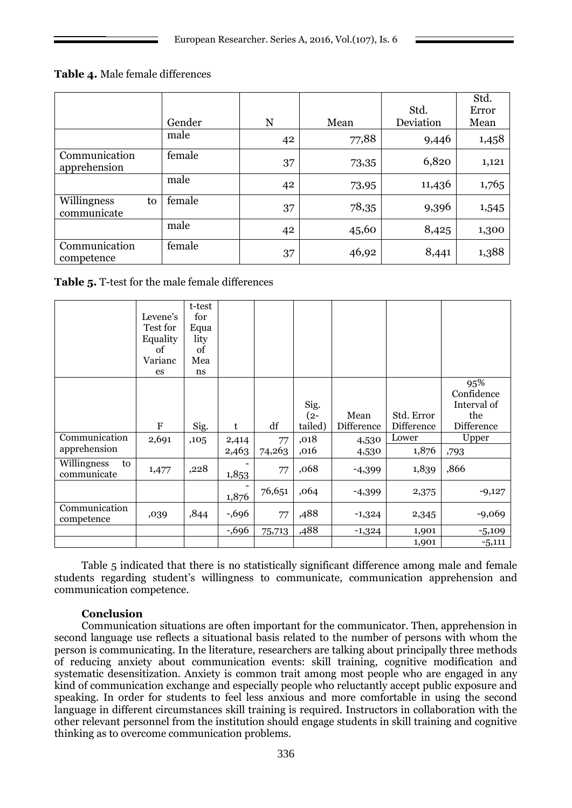**Table 4.** Male female differences

|                                  | Gender | N  | Mean  | Std.<br>Deviation | Std.<br>Error<br>Mean |
|----------------------------------|--------|----|-------|-------------------|-----------------------|
|                                  | male   | 42 | 77,88 | 9,446             | 1,458                 |
| Communication<br>apprehension    | female | 37 | 73,35 | 6,820             | 1,121                 |
|                                  | male   | 42 | 73,95 | 11,436            | 1,765                 |
| Willingness<br>to<br>communicate | female | 37 | 78,35 | 9,396             | 1,545                 |
|                                  | male   | 42 | 45,60 | 8,425             | 1,300                 |
| Communication<br>competence      | female | 37 | 46,92 | 8,441             | 1,388                 |

**Table 5.** T-test for the male female differences

|                                  |             | t-test |          |        |         |            |            |             |
|----------------------------------|-------------|--------|----------|--------|---------|------------|------------|-------------|
|                                  | Levene's    | for    |          |        |         |            |            |             |
|                                  | Test for    | Equa   |          |        |         |            |            |             |
|                                  | Equality    | lity   |          |        |         |            |            |             |
|                                  | of          | of     |          |        |         |            |            |             |
|                                  | Varianc     | Mea    |          |        |         |            |            |             |
|                                  | es          | ns     |          |        |         |            |            |             |
|                                  |             |        |          |        |         |            |            | 95%         |
|                                  |             |        |          |        |         |            |            | Confidence  |
|                                  |             |        |          |        | Sig.    |            |            | Interval of |
|                                  |             |        |          |        | $(2-$   | Mean       | Std. Error | the         |
|                                  | $\mathbf F$ | Sig.   | t        | df     | tailed) | Difference | Difference | Difference  |
| Communication                    | 2,691       | ,105   | 2,414    | 77     | ,018    | 4,530      | Lower      | Upper       |
| apprehension                     |             |        | 2,463    | 74,263 | ,016    | 4,530      | 1,876      | ,793        |
| Willingness<br>to<br>communicate | 1,477       | ,228   | 1,853    | 77     | ,068    | $-4,399$   | 1,839      | ,866        |
|                                  |             |        | 1,876    | 76,651 | ,064    | $-4,399$   | 2,375      | $-9,127$    |
| Communication<br>competence      | ,039        | ,844   | $-0.696$ | 77     | ,488    | $-1,324$   | 2,345      | $-9,069$    |
|                                  |             |        | $-0.696$ | 75,713 | ,488    | $-1,324$   | 1,901      | $-5,109$    |
|                                  |             |        |          |        |         |            | 1,901      | $-5,111$    |

Table 5 indicated that there is no statistically significant difference among male and female students regarding student's willingness to communicate, communication apprehension and communication competence.

### **Conclusion**

Communication situations are often important for the communicator. Then, apprehension in second language use reflects a situational basis related to the number of persons with whom the person is communicating. In the literature, researchers are talking about principally three methods of reducing anxiety about communication events: skill training, cognitive modification and systematic desensitization. Anxiety is common trait among most people who are engaged in any kind of communication exchange and especially people who reluctantly accept public exposure and speaking. In order for students to feel less anxious and more comfortable in using the second language in different circumstances skill training is required. Instructors in collaboration with the other relevant personnel from the institution should engage students in skill training and cognitive thinking as to overcome communication problems.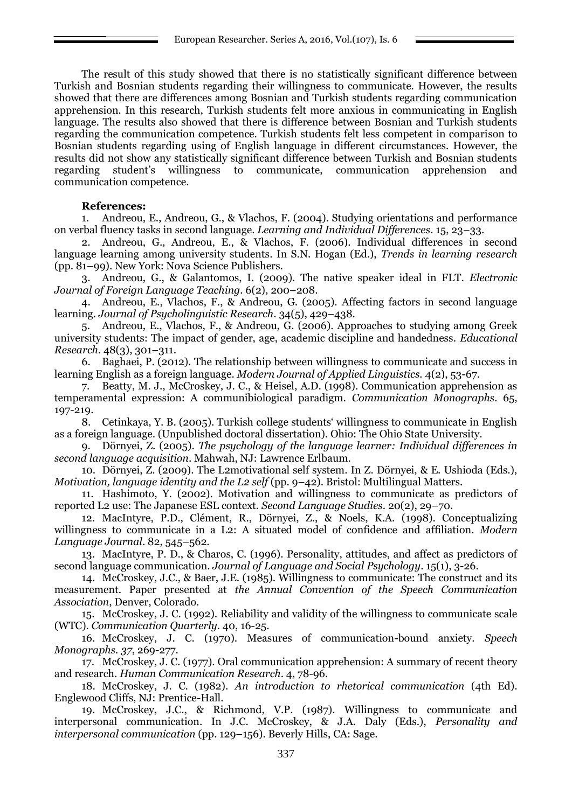The result of this study showed that there is no statistically significant difference between Turkish and Bosnian students regarding their willingness to communicate. However, the results showed that there are differences among Bosnian and Turkish students regarding communication apprehension. In this research, Turkish students felt more anxious in communicating in English language. The results also showed that there is difference between Bosnian and Turkish students regarding the communication competence. Turkish students felt less competent in comparison to Bosnian students regarding using of English language in different circumstances. However, the results did not show any statistically significant difference between Turkish and Bosnian students regarding student's willingness to communicate, communication apprehension and communication competence.

### **References:**

1. Andreou, E., Andreou, G., & Vlachos, F. (2004). Studying orientations and performance on verbal fluency tasks in second language. *Learning and Individual Differences*. 15, 23–33.

2. Andreou, G., Andreou, E., & Vlachos, F. (2006). Individual differences in second language learning among university students. In S.N. Hogan (Ed.), *Trends in learning research* (pp. 81–99). New York: Nova Science Publishers.

3. Andreou, G., & Galantomos, I. (2009). The native speaker ideal in FLT. *Electronic Journal of Foreign Language Teaching*. 6(2), 200–208.

4. Andreou, E., Vlachos, F., & Andreou, G. (2005). Affecting factors in second language learning. *Journal of Psycholinguistic Research*. 34(5), 429–438.

5. Andreou, E., Vlachos, F., & Andreou, G. (2006). Approaches to studying among Greek university students: The impact of gender, age, academic discipline and handedness. *Educational Research*. 48(3), 301–311.

6. Baghaei, P. (2012). The relationship between willingness to communicate and success in learning English as a foreign language. *Modern Journal of Applied Linguistics.* 4(2), 53-67.

7. Beatty, M. J., McCroskey, J. C., & Heisel, A.D. (1998). Communication apprehension as temperamental expression: A communibiological paradigm. *Communication Monographs.* 65, 197-219.

8. Cetinkaya, Y. B. (2005). Turkish college students' willingness to communicate in English as a foreign language. (Unpublished doctoral dissertation). Ohio: The Ohio State University.

9. Dörnyei, Z. (2005). *The psychology of the language learner: Individual differences in second language acquisition*. Mahwah, NJ: Lawrence Erlbaum.

10. Dörnyei, Z. (2009). The L2motivational self system. In Z. Dörnyei, & E. Ushioda (Eds.), *Motivation, language identity and the L2 self* (pp. 9–42). Bristol: Multilingual Matters.

11. Hashimoto, Y. (2002). Motivation and willingness to communicate as predictors of reported L2 use: The Japanese ESL context. *Second Language Studies*. 20(2), 29–70.

12. MacIntyre, P.D., Clément, R., Dörnyei, Z., & Noels, K.A. (1998). Conceptualizing willingness to communicate in a L2: A situated model of confidence and affiliation. *Modern Language Journal*. 82, 545–562.

13. MacIntyre, P. D., & Charos, C. (1996). Personality, attitudes, and affect as predictors of second language communication. *Journal of Language and Social Psychology*. 15(1), 3-26.

14. McCroskey, J.C., & Baer, J.E. (1985). Willingness to communicate: The construct and its measurement. Paper presented at *the Annual Convention of the Speech Communication Association*, Denver, Colorado.

15. McCroskey, J. C. (1992). Reliability and validity of the willingness to communicate scale (WTC). *Communication Quarterly*. 40, 16-25.

16. McCroskey, J. C. (1970). Measures of communication-bound anxiety. *Speech Monographs. 37*, 269-277.

17. McCroskey, J. C. (1977). Oral communication apprehension: A summary of recent theory and research. *Human Communication Research*. 4, 78-96.

18. McCroskey, J. C. (1982). *An introduction to rhetorical communication* (4th Ed). Englewood Cliffs, NJ: Prentice-Hall.

19. McCroskey, J.C., & Richmond, V.P. (1987). Willingness to communicate and interpersonal communication. In J.C. McCroskey, & J.A. Daly (Eds.), *Personality and interpersonal communication* (pp. 129–156). Beverly Hills, CA: Sage.